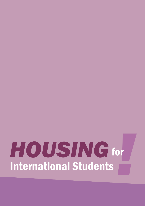# **HOUSING** for<br>International Students for International Students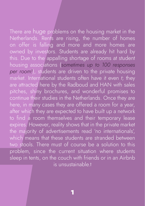There are huge proble<br>
Netherlands. Rents are<br>
on offer is falling at<br>
owned by investors. <br>
this. Due to the appall<br>
housing associations<br>
per room!), students are<br>
market. International s'<br>
are attracted here by t<br>
pitch There are huge problems on the housing market in the Netherlands. Rents are rising, the number of homes on offer is falling and more and more homes are owned by investors. Students are already hit hard by this. Due to the appalling shortage of rooms at student housing associations (*sometimes up to 100 responses per room!*), students are driven to the private housing market. International students often have it even *t*; they are attracted here by the Radboud and HAN with sales pitches, shiny brochures, and wonderful promises to continue their studies in the Netherlands. Once they are here, in many cases they are offered a room for a year, after which they are expected to have built up a network to find a room themselves and their temporary lease expires. However, reality shows that in the private market the majority of advertisements read 'no internationals', which means that these students are stranded between two stools. There must of course be a solution to this problem, since the current situation where students sleep in tents, on the couch with friends or in an Airbnb is unsustainable t

1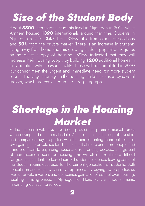# *Size of the Student Body*

About **3300** international students lived in Nijmegen in 2017, while Arnhem housed **1390** internationals around that time. Students in Nijmegen rent for **34**% from SSH&, **6**% from other corporations and **50**% from the private market. There is an increase in students living away from home and this growing student population requires an adequate supply of housing. SSH& indicated that they will increase their housing supply by building **1200** additional homes in collaboration with the Municipality. These will be completed in 2030 but cannot meet the urgent and immediate need for more student rooms. The large shortage in the housing market is caused by several factors, which are explained in the next paragraph.

# *Shortage in the Housing Market*

At the national level, laws have been passed that promote market forces when buying and renting real estate. As a result, a small group of investors and companies buy properties with the aim of renting them out for their own gain in the private sector. This means that more and more people find it more difficult to pay rising house and rent prices, because a large part of their income is spent on housing. This will also make it more difficult for graduate students to leave their old student residence, leaving some of the student rooms occupied for the current generation of students. Both speculation and vacancy can drive up prices. By buying up properties *en masse*, private investors and companies gain a lot of control over housing, resulting in rising prices. In Nijmegen Ton Hendriks is an important name in carrying out such practices.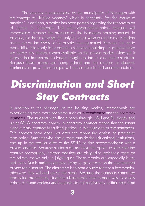The vacancy is substantiated by the municipality of Nijmegen with the concept of "friction vacancy" which is necessary "for the market to function". In addition, a motion has been passed regarding the reconversion of homes in Nijmegen. The anti-compartmentalization measure will immediately increase the pressure on the Nijmegen housing market. In practice, for the time being, the only structural ways to realize more student rooms are via the SSH& or the private housing market. Because it is made more difficult to apply for a permit to renovate a building, in practice there are hardly any student rooms available on the private market. Although it is good that houses are no longer bought up, this is of no use to students. Because fewer rooms are being added and the number of students continues to grow, more people will not be able to find accommodation.

# *Discrimination and Short Stay Contracts*

In addition to the shortage on the housing market, internationals are experiencing even more problems such as *discrimination* and the *short stay contracts*. The students who find a room through HAN and RU mostly end up at SSH& short-stay homes. A short-stay contract means that the tenant signs a rental contract for a fixed period, in this case one or two semesters. This contract form does not offer the tenant the option of premature termination. Students who find a room outside the educational institutions, end up in the regular offer of the SSH& or find accommodation with a private landlord. Because students do not have the option to terminate the contract prematurely, it means that they are obliged to look for a room on the private market only in July/August. These months are especially busy, and many Dutch students are also trying to get a room on the overstrained private rental market. The alternative is to bear double rent for a few months, otherwise they will end up on the street. Because the contracts cannot be terminated prematurely, students subsequently have to make way for a new cohort of home seekers and students do not receive any further help from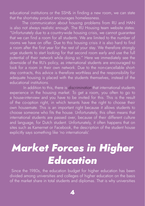educational institutions or the SSH& in finding a new room, we can state that the short-stay product encourages homelessness.

The communication about housing problems from RU and HAN is also not always realistic enough. The RU Housing team website states: "Unfortunately due to a country-wide housing crisis, we cannot guarantee that we can find a room for all students. We are limited to the number of rooms we have on offer. Due to this housing crisis it is also hard to find a room after the first year for the rest of your stay. We therefore strongly urge students to start looking for that second room early and use the full potential of their network while doing so." Here we immediately see the downside of the RU's policy, as international students are encouraged to look for a room in their own network. Due to the non-cancellable shortstay contracts, this advice is therefore worthless and the responsibility for adequate housing is placed with the students themselves, instead of the educational institutions.

 In addition to this, there is *discrimination* that international students experience in the housing market. To get a room, you often to go to a house-interview and you have to be invited for this. This is the result of the co-option right, in which tenants have the right to choose their own housemate. This is an important right because it allows students to choose someone who fits the house. Unfortunately, this often means that international students are passed over, because of their different culture and language, for Dutch student. Unfortunately, it often happens that on sites such as Kamernet or Facebook, the description of the student house explicitly says something like 'no internationals'.

# *Market Forces in Higher Education*

 Since the 1980s, the education budget for higher education has been divided among universities and colleges of higher education on the basis of the market share in total students and diplomas. That is why universities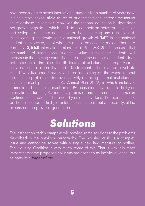have been trying to attract international students for a number of years now. It is an almost inexhaustible source of students that can increase the market share of these universities. However, the national education budget does not grow alongside it, which leads to a competition between universities and colleges of higher education for their financing and right to exist. In the coming academic year, a national growth of **14**% in international students is expected, all of whom must also be accommodated. There are currently **2,665** international students at RU. LMS 20-21 forecasts that the number of international students (excluding exchange students) will increase in the coming years. The increase in the number of students does not come out of the blue. The RU tries to attract students through various activities such as open days and advertisements. There is also a website called 'why Radboud University'. There is nothing on the website about the housing problems. Moreover, actively recruiting international students is an important point in the RU Annual Plan 2022, in which inclusivity is mentioned as an important point. By guaranteeing a room to first-year international students, RU keeps its promises, and the recruitment talks can continue. But as soon as the second year of study starts, the focus is mainly on the next cohort of first-year international students out of necessity, at the expense of the previous generation.

### *Solutions*

The last section of this pamphlet will provide some solutions to the problems described in the previous paragraphs. The housing crisis is a complex issue and cannot be solved with a single new law, measure or hotline. The Housing Coalition is very much aware of this. That is why it is more important that the proposed solutions are not seen as individual ideas, but as parts of a *larger whole*.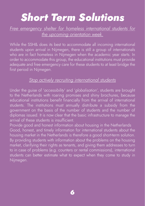### *Short Term Solutions*

*Free emergency shelter for homeless international students for the upcoming orientation week.*

While the SSH& does its best to accommodate all incoming international students upon arrival in Nijmegen, there is still a group of internationals who are in fact homeless in Nijmegen when the academic year starts. In order to accommodate this group, the educational institutions must provide adequate and free emergency care for these students to at least bridge the first period in Nijmegen.

#### *Stop actively recruiting international students*

Under the guise of '*accessibility*' and '*globalisation'*, students are brought to the Netherlands with roaring promises and shiny brochures, because educational institutions benefit financially from the arrival of international students. The institutions must annually distribute a subsidy from the government on the basis of the number of students and the number of diplomas issued. It is now clear that the basic infrastructure to manage the arrival of these students is insufficient.

Provide good and honest information about housing in the Netherlands Good, honest, and timely information for international students about the housing market in the Netherlands is therefore a good short-term solution. By providing students with information about the problems on the housing market, clarifying their rights as tenants, and giving them addresses to turn to in case of problems (e.g. counters or rental commissions), international students can better estimate what to expect when they come to study in Nijmegen.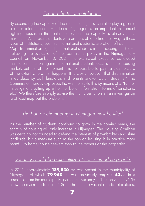#### *Expand the local rental teams*

By expanding the capacity of the rental teams, they can also play a greater role for internationals. Huurteams Nijmegen is an important instrument fighting abuses in the rental sector, but the capacity is already at its maximum. As a result, students who are less able to find their way to these types of institutions, such as international students, are often left out. Map discrimination against international students in the housing market F Following the evaluation of the room rental policy in the Nijmegen city council on November 3, 2021, the Municipal Executive concluded that "discrimination against international students occurs in the housing market, but that at the moment it is not possible to paint a clear picture of the extent where that happens. It is clear, however, that discrimination takes place by both landlords and tenants and/or Dutch students." The Commission hereby expresses the wish to tackle this by means of a "further investigation, setting up a hotline, better information, forms of sanctions, etc." We therefore strongly advise the municipality to start an investigation to at least map out the problem.

#### *The ban on chambering in Nijmegen must be lifted*

As the number of students continues to grow in the coming years, the scarcity of housing will only increase in Nijmegen. The Housing Coalition was certainly not founded to defend the interests of pawnbrokers and slum landlords, but a measure such as the ban on housing is in practice more harmful to home/house seekers than to the owners of the properties.

#### *Vacancy should be better utilized to accommodate people*

In 2021, approximately **189,530** m² was vacant in the municipality of Nijmegen, of which **79,950** m² was previously empty (~**42**%). In a response from the municipality, part of this vacancy is "friction vacancy" "to allow the market to function." Some homes are vacant due to relocations,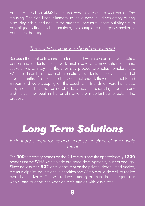but there are about **480** homes that were also vacant a year earlier. The Housing Coalition finds it immoral to leave these buildings empty during a housing crisis, and not just for students. long-term vacant buildings must be obliged to find suitable functions, for example as emergency shelter or permanent housing.

#### *The short-stay contracts should be reviewed*

Because the contracts cannot be terminated within a year or have a notice period and students then have to make way for a new cohort of home seekers, we can say that the short-stay product promotes homelessness. We have heard from several international students in conversations that several months after their short-stay contract ended, they still had not found a room and were sleeping on the couch with friends or were homeless. They indicated that not being able to cancel the short-stay product early and the summer peak in the rental market are important bottlenecks in the process.

# *Long Term Solutions*

#### *Build more student rooms and increase the share of non-private rental*

The **100** temporary homes on the RU campus and the approximately **1200** homes that the SSH& want to add are good developments, but not enough. Since no less than **50**% of students rent on the private, deregulated market, the municipality, educational authorities and SSH& would do well to realize more homes faster. This will reduce housing pressure in Nijmegen as a whole, and students can work on their studies with less stress.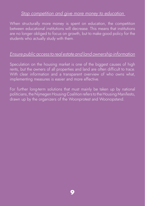#### *Stop competition and give more money to education*

When structurally more money is spent on education, the competition between educational institutions will decrease. This means that institutions are no longer obliged to focus on growth, but to make good policy for the students who actually study with them.

#### *Ensure public access to real estate and land ownership information*

Speculation on the housing market is one of the biggest causes of high rents, but the owners of all properties and land are often difficult to trace. With clear information and a transparent overview of who owns what, implementing measures is easier and more effective.

For further long-term solutions that must mainly be taken up by national politicians, the Nijmegen Housing Coalition refers to the Housing Manifesto, drawn up by the organizers of the Woonprotest and Woonopstand.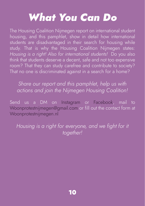# *What You Can Do*

The Housing Coalition Nijmegen report on international student housing, and this pamphlet, show in detail how international students are disadvantaged in their search for housing while study. That is why the Housing Coalition Nijmegen states: *Housing is a right! Also for international students!* Do you also think that students deserve a decent, safe and not too expensive room? That they can study carefree and contribute to society? That no one is discriminated against in a search for a home?

*Share our report and this pamphlet, help us with actions and join the Nijmegen Housing Coalition!*

Send us a DM on Instagram or Facebook, mail to Woonprotestnijmegen@gmail.com or fill out the contact form at Woonprotestnijmegen.nl

*Housing is a right for everyone, and we fight for it together!*